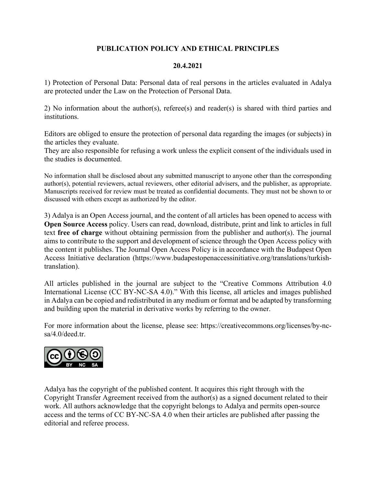# **PUBLICATION POLICY AND ETHICAL PRINCIPLES**

#### **20.4.2021**

1) Protection of Personal Data: Personal data of real persons in the articles evaluated in Adalya are protected under the Law on the Protection of Personal Data.

2) No information about the author(s), referee(s) and reader(s) is shared with third parties and institutions.

Editors are obliged to ensure the protection of personal data regarding the images (or subjects) in the articles they evaluate.

They are also responsible for refusing a work unless the explicit consent of the individuals used in the studies is documented.

No information shall be disclosed about any submitted manuscript to anyone other than the corresponding author(s), potential reviewers, actual reviewers, other editorial advisers, and the publisher, as appropriate. Manuscripts received for review must be treated as confidential documents. They must not be shown to or discussed with others except as authorized by the editor.

3) Adalya is an Open Access journal, and the content of all articles has been opened to access with **Open Source Access** policy. Users can read, download, distribute, print and link to articles in full text **free of charge** without obtaining permission from the publisher and author(s). The journal aims to contribute to the support and development of science through the Open Access policy with the content it publishes. The Journal Open Access Policy is in accordance with the Budapest Open Access Initiative declaration (https://www.budapestopenaccessinitiative.org/translations/turkishtranslation).

All articles published in the journal are subject to the "Creative Commons Attribution 4.0 International License (CC BY-NC-SA 4.0)." With this license, all articles and images published in Adalya can be copied and redistributed in any medium or format and be adapted by transforming and building upon the material in derivative works by referring to the owner.

For more information about the license, please see: https://creativecommons.org/licenses/by-ncsa/4.0/deed.tr.



Adalya has the copyright of the published content. It acquires this right through with the Copyright Transfer Agreement received from the author(s) as a signed document related to their work. All authors acknowledge that the copyright belongs to Adalya and permits open-source access and the terms of CC BY-NC-SA 4.0 when their articles are published after passing the editorial and referee process.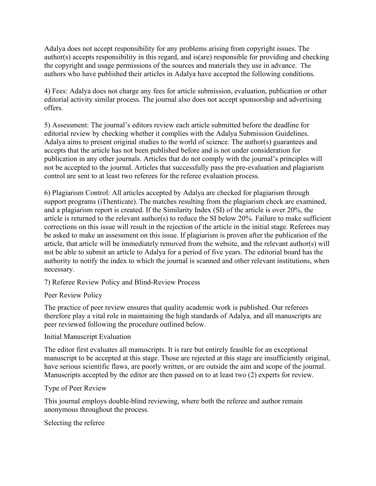Adalya does not accept responsibility for any problems arising from copyright issues. The author(s) accepts responsibility in this regard, and is(are) responsible for providing and checking the copyright and usage permissions of the sources and materials they use in advance. The authors who have published their articles in Adalya have accepted the following conditions.

4) Fees: Adalya does not charge any fees for article submission, evaluation, publication or other editorial activity similar process. The journal also does not accept sponsorship and advertising offers.

5) Assessment: The journal's editors review each article submitted before the deadline for editorial review by checking whether it complies with the Adalya Submission Guidelines. Adalya aims to present original studies to the world of science. The author(s) guarantees and accepts that the article has not been published before and is not under consideration for publication in any other journals. Articles that do not comply with the journal's principles will not be accepted to the journal. Articles that successfully pass the pre-evaluation and plagiarism control are sent to at least two referees for the referee evaluation process.

6) Plagiarism Control: All articles accepted by Adalya are checked for plagiarism through support programs (iThenticate). The matches resulting from the plagiarism check are examined, and a plagiarism report is created. If the Similarity Index (SI) of the article is over 20%, the article is returned to the relevant author(s) to reduce the SI below 20%. Failure to make sufficient corrections on this issue will result in the rejection of the article in the initial stage. Referees may be asked to make an assessment on this issue. If plagiarism is proven after the publication of the article, that article will be immediately removed from the website, and the relevant author(s) will not be able to submit an article to Adalya for a period of five years. The editorial board has the authority to notify the index to which the journal is scanned and other relevant institutions, when necessary.

7) Referee Review Policy and Blind-Review Process

Peer Review Policy

The practice of peer review ensures that quality academic work is published. Our referees therefore play a vital role in maintaining the high standards of Adalya, and all manuscripts are peer reviewed following the procedure outlined below.

## Initial Manuscript Evaluation

The editor first evaluates all manuscripts. It is rare but entirely feasible for an exceptional manuscript to be accepted at this stage. Those are rejected at this stage are insufficiently original, have serious scientific flaws, are poorly written, or are outside the aim and scope of the journal. Manuscripts accepted by the editor are then passed on to at least two (2) experts for review.

## Type of Peer Review

This journal employs double-blind reviewing, where both the referee and author remain anonymous throughout the process.

#### Selecting the referee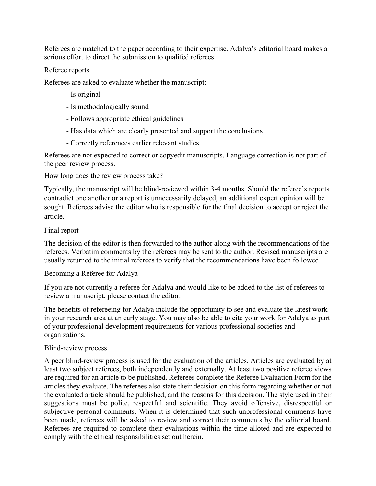Referees are matched to the paper according to their expertise. Adalya's editorial board makes a serious effort to direct the submission to qualifed referees.

#### Referee reports

Referees are asked to evaluate whether the manuscript:

- Is original
- Is methodologically sound
- Follows appropriate ethical guidelines
- Has data which are clearly presented and support the conclusions
- Correctly references earlier relevant studies

Referees are not expected to correct or copyedit manuscripts. Language correction is not part of the peer review process.

How long does the review process take?

Typically, the manuscript will be blind-reviewed within 3-4 months. Should the referee's reports contradict one another or a report is unnecessarily delayed, an additional expert opinion will be sought. Referees advise the editor who is responsible for the final decision to accept or reject the article.

## Final report

The decision of the editor is then forwarded to the author along with the recommendations of the referees. Verbatim comments by the referees may be sent to the author. Revised manuscripts are usually returned to the initial referees to verify that the recommendations have been followed.

## Becoming a Referee for Adalya

If you are not currently a referee for Adalya and would like to be added to the list of referees to review a manuscript, please contact the editor.

The benefits of refereeing for Adalya include the opportunity to see and evaluate the latest work in your research area at an early stage. You may also be able to cite your work for Adalya as part of your professional development requirements for various professional societies and organizations.

## Blind-review process

A peer blind-review process is used for the evaluation of the articles. Articles are evaluated by at least two subject referees, both independently and externally. At least two positive referee views are required for an article to be published. Referees complete the Referee Evaluation Form for the articles they evaluate. The referees also state their decision on this form regarding whether or not the evaluated article should be published, and the reasons for this decision. The style used in their suggestions must be polite, respectful and scientific. They avoid offensive, disrespectful or subjective personal comments. When it is determined that such unprofessional comments have been made, referees will be asked to review and correct their comments by the editorial board. Referees are required to complete their evaluations within the time alloted and are expected to comply with the ethical responsibilities set out herein.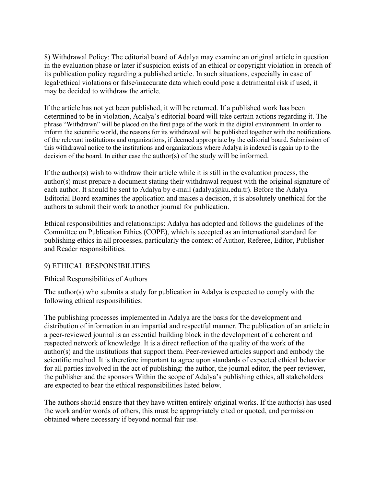8) Withdrawal Policy: The editorial board of Adalya may examine an original article in question in the evaluation phase or later if suspicion exists of an ethical or copyright violation in breach of its publication policy regarding a published article. In such situations, especially in case of legal/ethical violations or false/inaccurate data which could pose a detrimental risk if used, it may be decided to withdraw the article.

If the article has not yet been published, it will be returned. If a published work has been determined to be in violation, Adalya's editorial board will take certain actions regarding it. The phrase "Withdrawn" will be placed on the first page of the work in the digital environment. In order to inform the scientific world, the reasons for its withdrawal will be published together with the notifications of the relevant institutions and organizations, if deemed appropriate by the editorial board. Submission of this withdrawal notice to the institutions and organizations where Adalya is indexed is again up to the decision of the board. In either case the author(s) of the study will be informed.

If the author(s) wish to withdraw their article while it is still in the evaluation process, the author(s) must prepare a document stating their withdrawal request with the original signature of each author. It should be sent to Adalya by e-mail (adalya@ku.edu.tr). Before the Adalya Editorial Board examines the application and makes a decision, it is absolutely unethical for the authors to submit their work to another journal for publication.

Ethical responsibilities and relationships: Adalya has adopted and follows the guidelines of the Committee on Publication Ethics (COPE), which is accepted as an international standard for publishing ethics in all processes, particularly the context of Author, Referee, Editor, Publisher and Reader responsibilities.

## 9) ETHICAL RESPONSIBILITIES

## Ethical Responsibilities of Authors

The author(s) who submits a study for publication in Adalya is expected to comply with the following ethical responsibilities:

The publishing processes implemented in Adalya are the basis for the development and distribution of information in an impartial and respectful manner. The publication of an article in a peer-reviewed journal is an essential building block in the development of a coherent and respected network of knowledge. It is a direct reflection of the quality of the work of the author(s) and the institutions that support them. Peer-reviewed articles support and embody the scientific method. It is therefore important to agree upon standards of expected ethical behavior for all parties involved in the act of publishing: the author, the journal editor, the peer reviewer, the publisher and the sponsors Within the scope of Adalya's publishing ethics, all stakeholders are expected to bear the ethical responsibilities listed below.

The authors should ensure that they have written entirely original works. If the author(s) has used the work and/or words of others, this must be appropriately cited or quoted, and permission obtained where necessary if beyond normal fair use.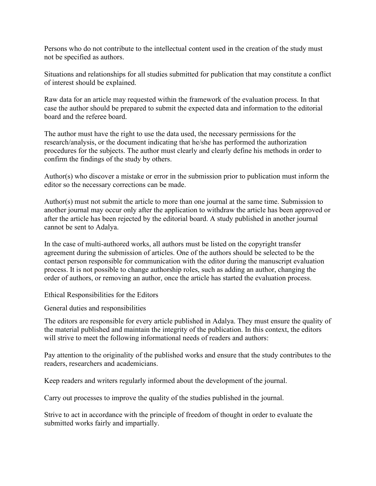Persons who do not contribute to the intellectual content used in the creation of the study must not be specified as authors.

Situations and relationships for all studies submitted for publication that may constitute a conflict of interest should be explained.

Raw data for an article may requested within the framework of the evaluation process. In that case the author should be prepared to submit the expected data and information to the editorial board and the referee board.

The author must have the right to use the data used, the necessary permissions for the research/analysis, or the document indicating that he/she has performed the authorization procedures for the subjects. The author must clearly and clearly define his methods in order to confirm the findings of the study by others.

Author(s) who discover a mistake or error in the submission prior to publication must inform the editor so the necessary corrections can be made.

Author(s) must not submit the article to more than one journal at the same time. Submission to another journal may occur only after the application to withdraw the article has been approved or after the article has been rejected by the editorial board. A study published in another journal cannot be sent to Adalya.

In the case of multi-authored works, all authors must be listed on the copyright transfer agreement during the submission of articles. One of the authors should be selected to be the contact person responsible for communication with the editor during the manuscript evaluation process. It is not possible to change authorship roles, such as adding an author, changing the order of authors, or removing an author, once the article has started the evaluation process.

Ethical Responsibilities for the Editors

General duties and responsibilities

The editors are responsible for every article published in Adalya. They must ensure the quality of the material published and maintain the integrity of the publication. In this context, the editors will strive to meet the following informational needs of readers and authors:

Pay attention to the originality of the published works and ensure that the study contributes to the readers, researchers and academicians.

Keep readers and writers regularly informed about the development of the journal.

Carry out processes to improve the quality of the studies published in the journal.

Strive to act in accordance with the principle of freedom of thought in order to evaluate the submitted works fairly and impartially.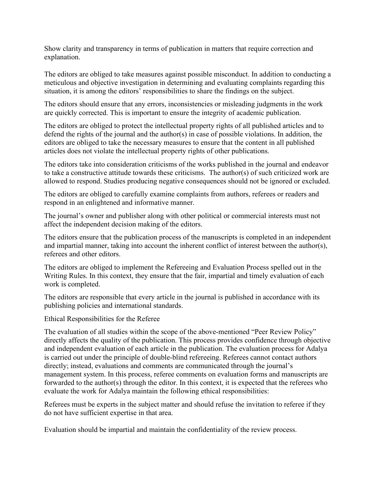Show clarity and transparency in terms of publication in matters that require correction and explanation.

The editors are obliged to take measures against possible misconduct. In addition to conducting a meticulous and objective investigation in determining and evaluating complaints regarding this situation, it is among the editors' responsibilities to share the findings on the subject.

The editors should ensure that any errors, inconsistencies or misleading judgments in the work are quickly corrected. This is important to ensure the integrity of academic publication.

The editors are obliged to protect the intellectual property rights of all published articles and to defend the rights of the journal and the author(s) in case of possible violations. In addition, the editors are obliged to take the necessary measures to ensure that the content in all published articles does not violate the intellectual property rights of other publications.

The editors take into consideration criticisms of the works published in the journal and endeavor to take a constructive attitude towards these criticisms. The author(s) of such criticized work are allowed to respond. Studies producing negative consequences should not be ignored or excluded.

The editors are obliged to carefully examine complaints from authors, referees or readers and respond in an enlightened and informative manner.

The journal's owner and publisher along with other political or commercial interests must not affect the independent decision making of the editors.

The editors ensure that the publication process of the manuscripts is completed in an independent and impartial manner, taking into account the inherent conflict of interest between the author(s), referees and other editors.

The editors are obliged to implement the Refereeing and Evaluation Process spelled out in the Writing Rules. In this context, they ensure that the fair, impartial and timely evaluation of each work is completed.

The editors are responsible that every article in the journal is published in accordance with its publishing policies and international standards.

Ethical Responsibilities for the Referee

The evaluation of all studies within the scope of the above-mentioned "Peer Review Policy" directly affects the quality of the publication. This process provides confidence through objective and independent evaluation of each article in the publication. The evaluation process for Adalya is carried out under the principle of double-blind refereeing. Referees cannot contact authors directly; instead, evaluations and comments are communicated through the journal's management system. In this process, referee comments on evaluation forms and manuscripts are forwarded to the author(s) through the editor. In this context, it is expected that the referees who evaluate the work for Adalya maintain the following ethical responsibilities:

Referees must be experts in the subject matter and should refuse the invitation to referee if they do not have sufficient expertise in that area.

Evaluation should be impartial and maintain the confidentiality of the review process.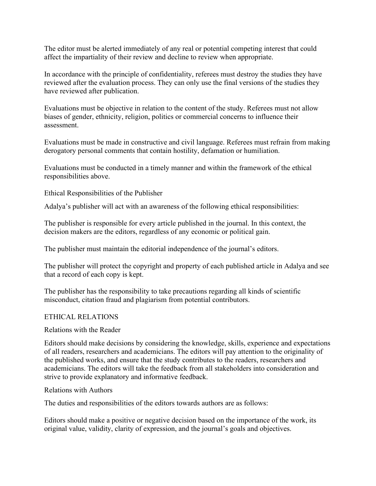The editor must be alerted immediately of any real or potential competing interest that could affect the impartiality of their review and decline to review when appropriate.

In accordance with the principle of confidentiality, referees must destroy the studies they have reviewed after the evaluation process. They can only use the final versions of the studies they have reviewed after publication.

Evaluations must be objective in relation to the content of the study. Referees must not allow biases of gender, ethnicity, religion, politics or commercial concerns to influence their assessment.

Evaluations must be made in constructive and civil language. Referees must refrain from making derogatory personal comments that contain hostility, defamation or humiliation.

Evaluations must be conducted in a timely manner and within the framework of the ethical responsibilities above.

Ethical Responsibilities of the Publisher

Adalya's publisher will act with an awareness of the following ethical responsibilities:

The publisher is responsible for every article published in the journal. In this context, the decision makers are the editors, regardless of any economic or political gain.

The publisher must maintain the editorial independence of the journal's editors.

The publisher will protect the copyright and property of each published article in Adalya and see that a record of each copy is kept.

The publisher has the responsibility to take precautions regarding all kinds of scientific misconduct, citation fraud and plagiarism from potential contributors.

#### ETHICAL RELATIONS

#### Relations with the Reader

Editors should make decisions by considering the knowledge, skills, experience and expectations of all readers, researchers and academicians. The editors will pay attention to the originality of the published works, and ensure that the study contributes to the readers, researchers and academicians. The editors will take the feedback from all stakeholders into consideration and strive to provide explanatory and informative feedback.

#### Relations with Authors

The duties and responsibilities of the editors towards authors are as follows:

Editors should make a positive or negative decision based on the importance of the work, its original value, validity, clarity of expression, and the journal's goals and objectives.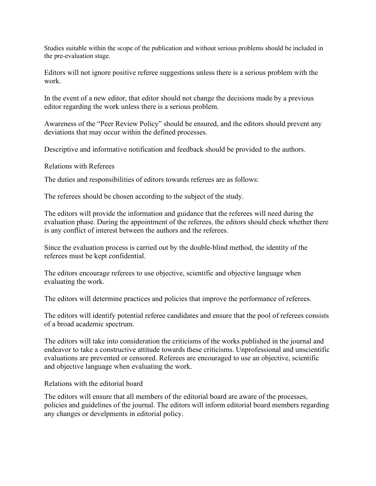Studies suitable within the scope of the publication and without serious problems should be included in the pre-evaluation stage.

Editors will not ignore positive referee suggestions unless there is a serious problem with the work.

In the event of a new editor, that editor should not change the decisions made by a previous editor regarding the work unless there is a serious problem.

Awareness of the "Peer Review Policy" should be ensured, and the editors should prevent any deviations that may occur within the defined processes.

Descriptive and informative notification and feedback should be provided to the authors.

Relations with Referees

The duties and responsibilities of editors towards referees are as follows:

The referees should be chosen according to the subject of the study.

The editors will provide the information and guidance that the referees will need during the evaluation phase. During the appointment of the referees, the editors should check whether there is any conflict of interest between the authors and the referees.

Since the evaluation process is carried out by the double-blind method, the identity of the referees must be kept confidential.

The editors encourage referees to use objective, scientific and objective language when evaluating the work.

The editors will determine practices and policies that improve the performance of referees.

The editors will identify potential referee candidates and ensure that the pool of referees consists of a broad academic spectrum.

The editors will take into consideration the criticisms of the works published in the journal and endeavor to take a constructive attitude towards these criticisms. Unprofessional and unscientific evaluations are prevented or censored. Referees are encouraged to use an objective, scientific and objective language when evaluating the work.

Relations with the editorial board

The editors will ensure that all members of the editorial board are aware of the processes, policies and guidelines of the journal. The editors will inform editorial board members regarding any changes or develpments in editorial policy.